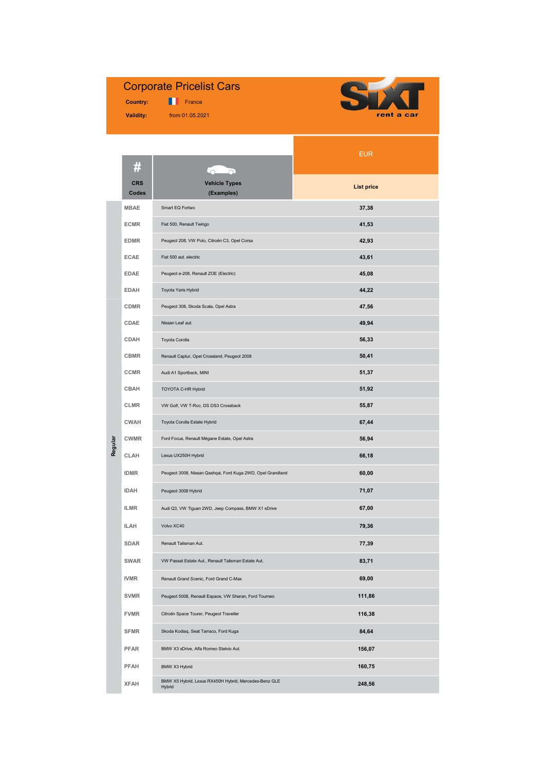## Corporate Pricelist Cars

 Country: Validity:

**France** from 01.05.2021



|         |                     |                                                                 | <b>EUR</b>        |  |
|---------|---------------------|-----------------------------------------------------------------|-------------------|--|
|         | #                   |                                                                 |                   |  |
|         | <b>CRS</b><br>Codes | <b>Vehicle Types</b><br>(Examples)                              | <b>List price</b> |  |
|         | <b>MBAE</b>         | Smart EQ Fortwo                                                 | 37,38             |  |
|         | <b>ECMR</b>         | Fiat 500, Renault Twingo                                        | 41,53             |  |
|         | <b>EDMR</b>         | Peugeot 208, VW Polo, Citroën C3, Opel Corsa                    | 42,93             |  |
|         | <b>ECAE</b>         | Fiat 500 aut. electric                                          | 43,61             |  |
|         | <b>EDAE</b>         | Peugeot e-208, Renault ZOE (Electric)                           | 45,08             |  |
|         | <b>EDAH</b>         | Toyota Yaris Hybrid                                             | 44,22             |  |
|         | <b>CDMR</b>         | Peugeot 308, Skoda Scala, Opel Astra                            | 47,56             |  |
|         | CDAE                | Nissan Leaf aut.                                                | 49,94             |  |
|         | CDAH                | Toyota Corolla                                                  | 56,33             |  |
|         | <b>CBMR</b>         | Renault Captur, Opel Crossland, Peugeot 2008                    | 50,41             |  |
|         | <b>CCMR</b>         | Audi A1 Sportback, MINI                                         | 51,37             |  |
|         | <b>CBAH</b>         | TOYOTA C-HR Hybrid                                              | 51,92             |  |
|         | <b>CLMR</b>         | VW Golf, VW T-Roc, DS DS3 Crossback                             | 55,87             |  |
|         | <b>CWAH</b>         | Toyota Corolla Estate Hybrid                                    | 67,44             |  |
|         | <b>CWMR</b>         | Ford Focus, Renault Mégane Estate, Opel Astra                   | 56,94             |  |
| Regular | CLAH                | Lexus UX250H Hybrid                                             | 66,18             |  |
|         | <b>IDMR</b>         | Peugeot 3008, Nissan Qashqai, Ford Kuga 2WD, Opel Grandland     | 60,00             |  |
|         | <b>IDAH</b>         | Peugeot 3008 Hybrid                                             | 71,07             |  |
|         | <b>ILMR</b>         | Audi Q3, VW Tiguan 2WD, Jeep Compass, BMW X1 sDrive             | 67,00             |  |
|         | <b>ILAH</b>         | Volvo XC40                                                      | 79,36             |  |
|         | <b>SDAR</b>         | Renault Talisman Aut.                                           | 77,39             |  |
|         | <b>SWAR</b>         | VW Passat Estate Aut., Renault Talisman Estate Aut.             | 83,71             |  |
|         | <b>IVMR</b>         | Renault Grand Scenic, Ford Grand C-Max                          | 69,00             |  |
|         | <b>SVMR</b>         | Peugeot 5008, Renault Espace, VW Sharan, Ford Tourneo           | 111,86            |  |
|         | <b>FVMR</b>         | Citroën Space Tourer, Peugeot Traveller                         | 116,38            |  |
|         | <b>SFMR</b>         | Skoda Kodiaq, Seat Tarraco, Ford Kuga                           | 84,64             |  |
|         | <b>PFAR</b>         | BMW X3 xDrive, Alfa Romeo Stelvio Aut.                          | 156,07            |  |
|         | PFAH                | BMW X3 Hybrid                                                   | 160,75            |  |
|         | <b>XFAH</b>         | BMW X5 Hybrid, Lexus RX450H Hybrid, Mercedes-Benz GLE<br>Hybrid | 248,56            |  |